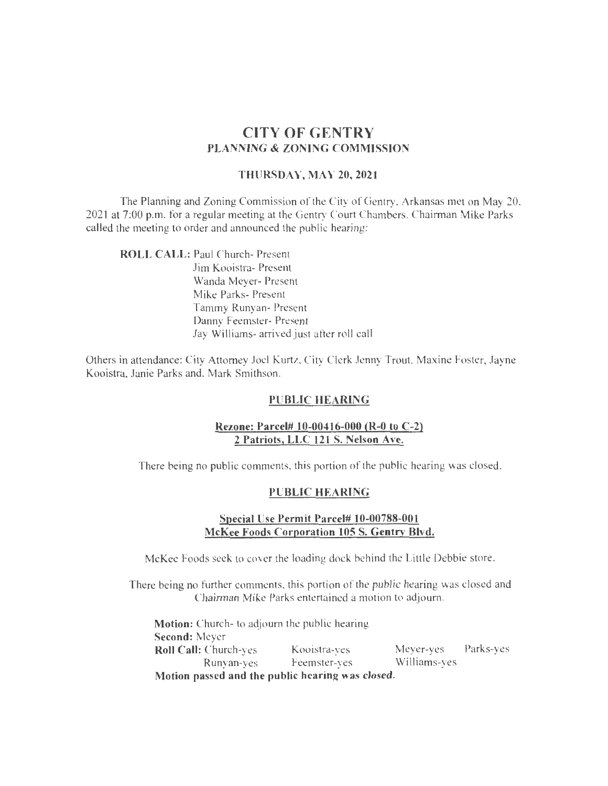# CITY OF GENTRY PLANNING & ZONING COMMISSION

#### THURSDAY, MAY 20, 2021

The Planning and Zoning Commission of the City of Gentry. Arkansas met on May 20. 2021 at 7:00 p.m. for a regular meeting at the Gentry Court Chambers. Chairman Mike Parks called the meeting to order and announced the public hearing:

ROLL CALL: Paul Church- Present

Jim Kooistra- Present Wanda Meyer- Present Mike Parks- Present Tammy Runyan- Present Danny Feemster- Present Jay Williams- arrived just after roll call

Others in attendance: City Attorney Joel Kurtz. City Clerk Jenny Trout. Maxine Foster, Jayne Kooistra. Janie Parks and, Mark Smithson.

## PUBLIC HEARING

## Rezone: Parcel# 10-00416-000 (R-0 to C-2) 2 Patriots, LLC 121 S. Nelson Ave.

There being no public comments. this portion of the public hearing was closed.

#### PUBLIC HEARING

#### Special Use Permit Parcel# 10-00788-001 McKee Foods Corporation 105 S. Gentry Blvd.

McKee Foods seek to cover the loading dock behind the Little Debbie store.

There being no further comments. this portion of the public hearing was closed and Chairman Mike Parks entertained a motion to adjourn.

Motion: Church- to adjourn the public hearing Second: Meyer Roll Call: Church-yes Kooistra-yes Meyer-yes Parks-yes<br>Runyan-yes Feemster-yes Williams-yes Runyan-yes Feemster-yes Motion passed and the public hearing was closed.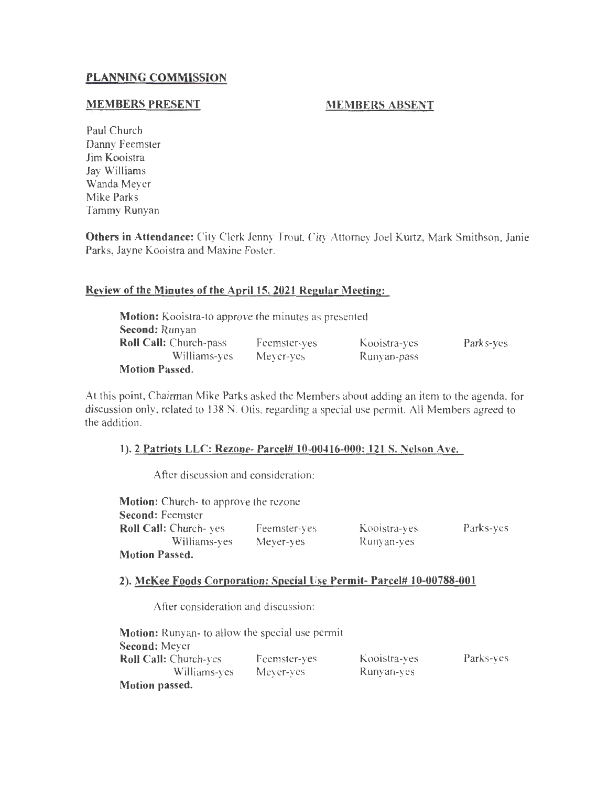## **PLANNING COMMISSION**

## **MEMBERS PRESENT**

## **MEMBERS ABSENT**

Paul Church Danny Feemster Jim Kooistra Jay Williams Wanda Meyer Mike Parks Tammy Runyan

**Others in Attendance:** City Clerk Jenny Trout City Attorney Joel Kurtz, Mark Smithson. Janie Parks, Jayne Kooistra and Maxine Foster.

## **Review of the Minutes of the April15, 2021 Regular Meeting:**

| <b>Motion:</b> Kooistra-to approve the minutes as presented |              |              |           |
|-------------------------------------------------------------|--------------|--------------|-----------|
| <b>Second: Runyan</b>                                       |              |              |           |
| <b>Roll Call:</b> Church-pass                               | Feemster-yes | Kooistra-yes | Parks-yes |
| Williams-yes                                                | Meyer-yes    | Runyan-pass  |           |
| <b>Motion Passed.</b>                                       |              |              |           |

At this point, Chairman Mike Parks asked the Members about adding an item to the agenda. for discussion only. related to 138 N. Otis. regarding a special use permit. All Members agreed to the addition.

#### **1). 2 Patriots LLC: Rezone- Parcel# 10-00416-000: 121 S. Nelson Ave.**

After discussion and consideration:

| <b>Motion:</b> Church- to approve the rezone |              |              |           |
|----------------------------------------------|--------------|--------------|-----------|
| Second: Feemster                             |              |              |           |
| <b>Roll Call:</b> Church-yes                 | Feemster-yes | Kooistra-ves | Parks-yes |
| Williams-yes                                 | Meyer-yes    | Runyan-ves   |           |
| <b>Motion Passed.</b>                        |              |              |           |

#### 2). McKee Foods Corporation: Special Use Permit- Parcel# 10-00788-001

After consideration and discussion :

| <b>Motion:</b> Runyan- to allow the special use permit |              |              |           |
|--------------------------------------------------------|--------------|--------------|-----------|
| Second: Meyer                                          |              |              |           |
| <b>Roll Call: Church-yes</b>                           | Feemster-yes | Kooistra-ves | Parks-yes |
| Williams-yes                                           | Mever-yes    | Runyan-yes   |           |
| Motion passed.                                         |              |              |           |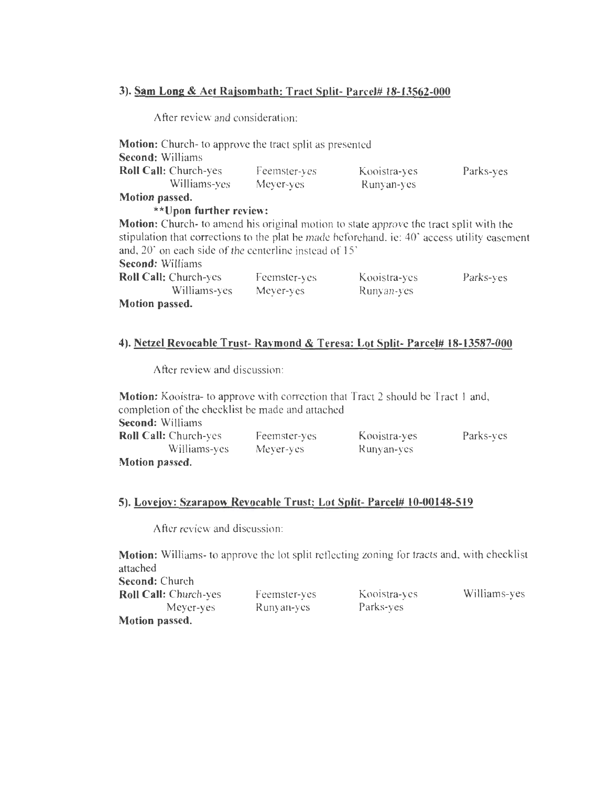## **3). Sam Long & Aet Rajsombath: Tract Split- Parcel# 18-13562-000**

After review and consideration:

| <b>Motion:</b> Church-to approve the tract split as presented                                 |              |              |           |
|-----------------------------------------------------------------------------------------------|--------------|--------------|-----------|
| <b>Second: Williams</b>                                                                       |              |              |           |
| <b>Roll Call: Church-yes</b>                                                                  | Feemster-yes | Kooistra-yes | Parks-yes |
| Williams-yes                                                                                  | Meyer-yes    | Runyan-yes   |           |
| Motion passed.                                                                                |              |              |           |
| **Upon further review:                                                                        |              |              |           |
| <b>Motion:</b> Church- to amend his original motion to state approve the tract split with the |              |              |           |
| stipulation that corrections to the plat be made beforehand, ie: 40' access utility easement  |              |              |           |
| and, 20" on each side of the centerline instead of 15"                                        |              |              |           |
| <b>Second:</b> Williams                                                                       |              |              |           |
| <b>Roll Call:</b> Church-yes                                                                  | Feemster-yes | Kooistra-yes | Parks-yes |
| Williams-yes                                                                                  | Meyer-yes    | Runyan-yes   |           |
| Motion passed.                                                                                |              |              |           |
|                                                                                               |              |              |           |

## **4). Netzel Revocable Trust- Ravmond & Teresa: Lot Split- Parcel# 18-13587-000**

After review and discussion:

| <b>Motion:</b> Kooistra-to approve with correction that Tract 2 should be Tract 1 and, |              |              |           |
|----------------------------------------------------------------------------------------|--------------|--------------|-----------|
| completion of the checklist be made and attached                                       |              |              |           |
| <b>Second:</b> Williams                                                                |              |              |           |
| <b>Roll Call:</b> Church-yes                                                           | Feemster-yes | Kooistra-yes | Parks-yes |
| Williams-yes                                                                           | Mever-yes    | Runyan-ves   |           |
| Motion passed.                                                                         |              |              |           |

# **5). Lovejoy: Szarapow Revocable Trust: Lot Split- Parcel# 10-00148-519**

After review and discussion:

**Motion:** Williams- to approve the lot split reflecting zoning for tracts and. with checklist attached

**Second:** Church **Roll Call:** Church-yes Meyer-yes **Motion passed.** 

Feemster-yes Runyan-yes

Kooistra-yes Parks-yes

Williams-yes